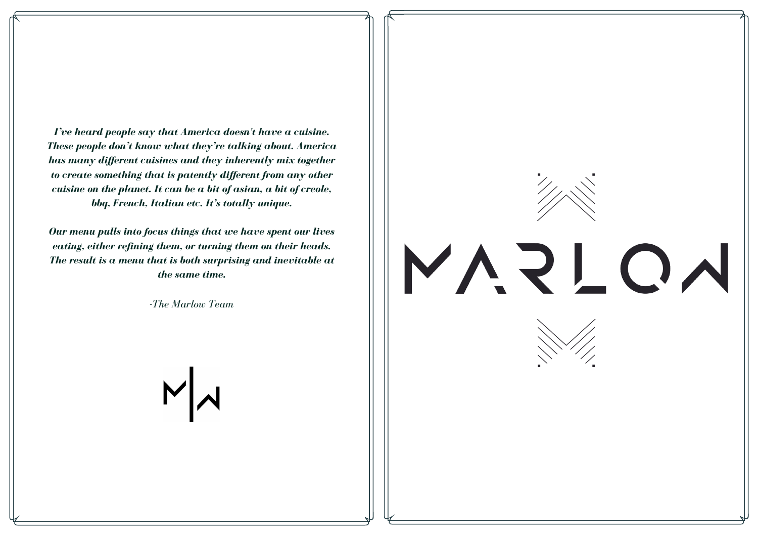*I've heard people say that America doesn't have a cuisine. These people don't know what they're talking about. America has many dif erent cuisines and they inherently mix together to create something that is patently dif erent from any other cuisine on the planet. It can be a bit of asian, a bit of creole, bbq, French, Italian etc. It's totally unique.*

*Our menu pulls into focus things that we have spent our lives eating, either refining them, or turning them on their heads. The result is a menu that is both surprising and inevitable at the same time.*

*-The Marlow Team*



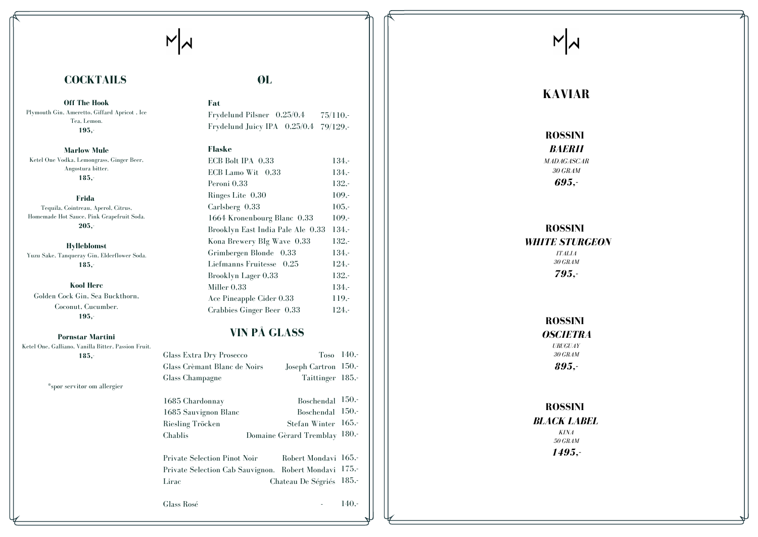## **F a t**

 $N$ 

## **F l a s k e**

| ۹ |
|---|
|---|

Frydelund Pilsner 0,25/0,4 Frydelund Juicy IPA 0,25/0,4 79/129,-7 5 / 1 1 0 , -

| ECB Bolt IPA 0,33                 | $134 -$  |
|-----------------------------------|----------|
| ECB Lamo Wit 0,33                 | $134,-$  |
| Peroni 0,33                       | $132. -$ |
| Ringes Lite 0.30                  | $109. -$ |
| Carlsberg 0,33                    | $105,-$  |
| 1664 Kronenbourg Blanc 0,33       | $109. -$ |
| Brooklyn East India Pale Ale 0,33 | $134 -$  |
| Kona Brewery BIg Wave 0,33        | $132 -$  |
| Grimbergen Blonde 0,33            | $134 -$  |
| Liefmanns Fruitesse 0,25          | $124 -$  |
| Brooklyn Lager 0,33               | $132 -$  |
| Miller $0.33$                     | $134 -$  |
| Ace Pineapple Cider 0.33          | $119. -$ |
| Crabbies Ginger Beer 0,33         | $124 -$  |

## **VIN PÅ GLASS**

## **COCKTAILS**

**Off The Hook** Plymouth Gin, Ameretto, Giffard Apricot, Ice Tea, Lemon. **195,-**

**Marlow Mule** Ketel One Vodka, Lemongrass, Ginger Beer, Angostura bitter. **185,-**

Tequila, Cointreau, Aperol, Citrus, Homemade Hot Sauce, Pink Grapefruit Soda. **205,-**

**Hylleblomst** Yuzu Sake, Tanqueray Gin, Elderflower Soda. **185,-**

**Kool** Herc Golden Cock Gin, Sea Buckthorn, Coconut, Cucumber. **195,-**

| Glass Extra Dry Prosecco<br>Glass Crèmant Blanc de Noirs<br>Glass Champagne | $T$ <sub>0</sub> s <sub>0</sub> 14 <sup>0</sup> <sub>-</sub><br><b>Joseph Cartron</b><br>Taittinger 185,- | 150.     |
|-----------------------------------------------------------------------------|-----------------------------------------------------------------------------------------------------------|----------|
| 1685 Chardonnay                                                             | Boschendal                                                                                                | 150.     |
| 1685 Sauvignon Blanc                                                        | <b>Boschendal</b>                                                                                         | 150.     |
| Riesling Tröcken                                                            | Stefan Winter                                                                                             | 165.     |
| Chablis                                                                     | Domaine Gèrard Tremblay                                                                                   | $180 -$  |
| <b>Private Selection Pinot Noir</b>                                         | Robert Mondavi 165,-                                                                                      | $175,-$  |
| Lirac                                                                       | Private Selection Cab Sauvignon. Robert Mondavi                                                           | $185, -$ |
| Glass Rosé                                                                  | Chateau De Ségriés                                                                                        | 140.     |

# $N$

**Pornstar Martini** Ketel One, Galliano, Vanilla Bitter, Passion Fruit. **185,-**

\*spør servitør om allergier

*MADAGASCAR 3 0 GRA M 6 9 5 , -*

## **ROSSINI** *WHITE STURGEON*

**ROSSINI** *BL A CK L A BEL*

## **Frida**

## **K A V I A R**

**ROSSINI** 

*BA ER II*

*I TA L IA 3 0 GRA M 7 9 5 , -*

**ROSSINI** 

# *OS CIE TR A*

*UR UGUA Y 3 0 GRA M*

*8 9 5 , -*

*KINA 5 0 GRA M 1 4 9 5 , -*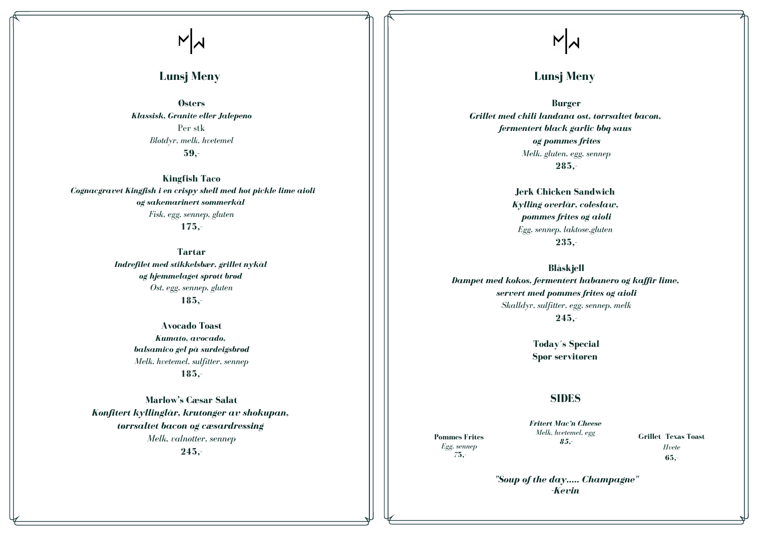# $N$

## **Lunsj Meny**

**Østers** *Klassisk, Granite eller Jalepeno* Per stk *Bløtdyr, melk, hvetemel* **59,-**

**Kingfish Taco** *Cognacgravet Kingfish i en crispy shell med hot pickle lime aioli og sakemarinert sommerkål Fisk, egg, sennep, gluten* **175,-**

> **Tartar** *Indrefilet med stikkelsbær, grillet nykål og hjemmelaget sprøtt brød Ost, egg, sennep, gluten* **185,-**

> > **Avocado Toast** *Kumato, avocado, balsamico gel på surdeigsbrød Melk, hvetemel, sulfitter, sennep* **185,-**

**Marlow's Cæsar Salat** *Konfitert kyllinglår, krutonger av shokupan, tørrsaltet bacon og cæsardressing Melk, valnøtter, sennep* **245,-**

 $N$ 

## **Lunsj Meny**

**Burger** *Grillet med chili landana ost, tørrsaltet bacon, fermentert black garlic bbq saus og pommes frites Melk, gluten, egg, sennep* **285,-**

> **Jerk Chicken Sandwich** *Kylling overlår, coleslaw, pommes frites og aioli Egg, sennep, laktose,gluten* **235,-**

**Blåskjell** *Dampet med kokos, fermentert habanero og kaf ir lime, servert med pommes frites og aioli Skalldyr, sulfitter, egg, sennep, melk* **245,-**

> **Today´s Special Spør servitøren**

**Pommes Frites** *Egg, sennep 7***5,-**

**Grillet Texas Toast** *Hvete* **65,-**

*Fritert Mac'n Cheese Melk, hvetemel, egg 85,-*

## **SIDES**

*"Soup of the day..... Champagne" -Kevin*